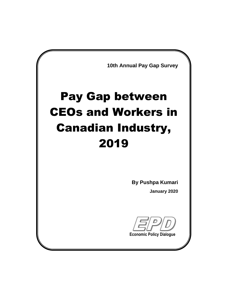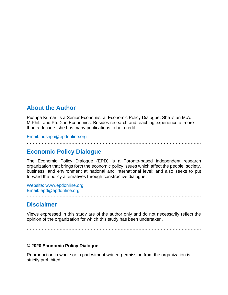#### **About the Author**

Pushpa Kumari is a Senior Economist at Economic Policy Dialogue. She is an M.A., M.Phil., and Ph.D. in Economics. Besides research and teaching experience of more than a decade, she has many publications to her credit.

Email: pushpa@epdonline.org

………………………………………………………………………………………………………

#### **Economic Policy Dialogue**

The Economic Policy Dialogue (EPD) is a Toronto-based independent research organization that brings forth the economic policy issues which affect the people, society, business, and environment at national and international level; and also seeks to put forward the policy alternatives through constructive dialogue.

Website: www.epdonline.org Email: epd@epdonline.org

**Disclaimer** 

Views expressed in this study are of the author only and do not necessarily reflect the opinion of the organization for which this study has been undertaken.

………………………………………………………………………………………………………

………………………………………………………………………………………………………

#### **© 2020 Economic Policy Dialogue**

Reproduction in whole or in part without written permission from the organization is strictly prohibited.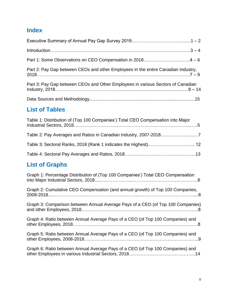# **Index**

| Part 2: Pay Gap between CEOs and other Employees in the entire Canadian Industry, |
|-----------------------------------------------------------------------------------|
| Part 3: Pay Gap between CEOs and Other Employees in various Sectors of Canadian   |
|                                                                                   |

## **List of Tables**

| Table 1: Distribution of (Top 100 Companies') Total CEO Compensation into Major |  |
|---------------------------------------------------------------------------------|--|
|                                                                                 |  |
|                                                                                 |  |
|                                                                                 |  |

# **List of Graphs**

| Graph 1: Percentage Distribution of (Top 100 Companies') Total CEO Compensation |
|---------------------------------------------------------------------------------|
| Graph 2: Cumulative CEO Compensation (and annual growth) of Top 100 Companies,  |
| Graph 3: Comparison between Annual Average Pays of a CEO (of Top 100 Companies) |
| Graph 4: Ratio between Annual Average Pays of a CEO (of Top 100 Companies) and  |
| Graph 5: Ratio between Annual Average Pays of a CEO (of Top 100 Companies) and  |
| Graph 6: Ratio between Annual Average Pays of a CEO (of Top 100 Companies) and  |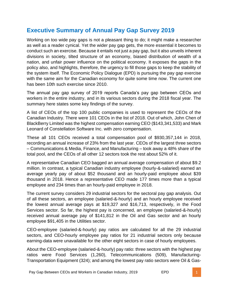### **Executive Summary of Annual Pay Gap Survey 2019**

Working on too wide pay gaps is not a pleasant thing to do; it might make a researcher as well as a reader cynical. Yet the wider pay gap gets, the more essential it becomes to conduct such an exercise. Because it entails not just a pay gap, but it also unveils inherent divisions in society, tilted structure of an economy, biased distribution of wealth of a nation, and unfair power influence on the political economy. It exposes the gaps in the policy also, and highlights, therefore, the urgency to fill those gaps to keep the stability of the system itself. The Economic Policy Dialogue (EPD) is pursuing the pay gap exercise with the same aim for the Canadian economy for quite some time now. The current one has been 10th such exercise since 2010.

The annual pay gap survey of 2019 reports Canada's pay gap between CEOs and workers in the entire industry, and in its various sectors during the 2018 fiscal year. The summary here states some key findings of the survey.

A list of CEOs of the top 100 public companies is used to represent the CEOs of the Canadian Industry. There were 101 CEOs in the list of 2018. Out of which, John Chen of BlackBerry Limited was the highest compensation earning CEO (\$143,341,533) and Mark Leonard of Constellation Software Inc. with zero compensation.

These all 101 CEOs received a total compensation pool of \$930,357,144 in 2018, recording an annual increase of 23% from the last year. CEOs of the largest three sectors – Communications & Media, Finance, and Manufacturing – took away a 48% share of the total pool, and the CEOs of all other 12 sectors took the rest about 52% of it.

A representative Canadian CEO bagged an annual average compensation of about \$9.2 million. In contrast, a typical Canadian industry employee (hourly-&-salaried) earned an average yearly pay of about \$52 thousand and an hourly-paid employee about \$39 thousand in 2018. Hence a representative CEO made 177 times more than a typical employee and 234 times than an hourly-paid employee in 2018.

The current survey considers 29 industrial sectors for the sectoral pay gap analysis. Out of all these sectors, an employee (salaried-&-hourly) and an hourly employee received the lowest annual average pays at \$19,327 and \$16,713, respectively, in the Food Services sector. So far, the highest pay is concerned, an employee (salaried-&-hourly) received annual average pay of \$141,812 in the Oil and Gas sector and an hourly employee \$91,405 in the Utilities sector.

CEO-employee (salaried-&-hourly) pay ratios are calculated for all the 29 industrial sectors, and CEO-hourly employee pay ratios for 21 industrial sectors only because earning-data were unavailable for the other eight sectors in case of hourly employees.

About the CEO-employee (salaried-&-hourly) pay ratio: three sectors with the highest pay ratios were Food Services (1,260), Telecommunications (509), Manufacturing-Transportation Equipment (324); and among the lowest pay ratio sectors were Oil & Gas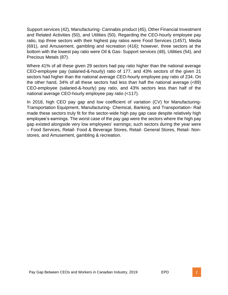Support services (42), Manufacturing- Cannabis product (45), Other Financial Investment and Related Activities (50), and Utilities (50). Regarding the CEO-hourly employee pay ratio, top three sectors with their highest pay ratios were Food Services (1457), Media (691), and Amusement, gambling and recreation (416); however, three sectors at the bottom with the lowest pay ratio were Oil & Gas- Support services (48), Utilities (54), and Precious Metals (87).

Where 41% of all these given 29 sectors had pay ratio higher than the national average CEO-employee pay (salaried-&-hourly) ratio of 177, and 43% sectors of the given 21 sectors had higher than the national average CEO-hourly employee pay ratio of 234. On the other hand, 34% of all these sectors had less than half the national average (<89) CEO-employee (salaried-&-hourly) pay ratio, and 43% sectors less than half of the national average CEO-hourly employee pay ratio (<117).

In 2018, high CEO pay gap and low coefficient of variation (CV) for Manufacturing-Transportation Equipment, Manufacturing- Chemical, Banking, and Transportation- Rail made these sectors truly fit for the sector-wide high pay gap case despite relatively high employee's earnings. The worst case of the pay gap were the sectors where the high pay gap existed alongside very low employees' earnings; such sectors during the year were – Food Services, Retail- Food & Beverage Stores, Retail- General Stores, Retail- Nonstores, and Amusement, gambling & recreation.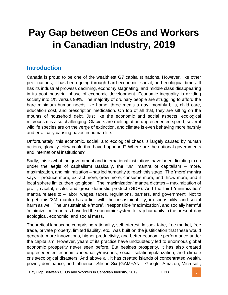# **Pay Gap between CEOs and Workers in Canadian Industry, 2019**

### **Introduction**

Canada is proud to be one of the wealthiest G7 capitalist nations. However, like other peer nations, it has been going through hard economic, social, and ecological times. It has its industrial prowess declining, economy stagnating, and middle class disappearing in its post-industrial phase of economic development. Economic inequality is dividing society into 1% versus 99%. The majority of ordinary people are struggling to afford the bare minimum human needs like home, three meals a day, monthly bills, child care, education cost, and prescription medication. On top of all that, they are sitting on the mounts of household debt. Just like the economic and social aspects, ecological microcosm is also challenging. Glaciers are melting at an unprecedented speed, several wildlife species are on the verge of extinction, and climate is even behaving more harshly and erratically causing havoc in human life.

Unfortunately, this economic, social, and ecological chaos is largely caused by human actions, globally. How could that have happened? Where are the national governments and international institutions?

Sadly, this is what the government and international institutions have been dictating to do under the aegis of capitalism! Basically, the '3M' mantra of capitalism – more, maximization, and minimization – has led humanity to reach this stage. The 'more' mantra says – produce more, extract more, grow more, consume more, and throw more; and if local sphere limits, then 'go global'. The 'maximization' mantra dictates – maximization of profit, capital, scale, and gross domestic product (GDP). And the third 'minimization' mantra relates to – labor, wages, taxes, regulations, barriers, and government. Not to forget, this '3M' mantra has a link with the unsustainability, irresponsibility, and social harm as well. The unsustainable 'more', irresponsible 'maximization', and socially harmful 'minimization' mantras have led the economic system to trap humanity in the present-day ecological, economic, and social mess.

Theoretical landscape comprising rationality, self-interest, laissez-faire, free market, free trade, private property, limited liability, etc., was built on the justification that these would generate more innovations, higher productivity, and better economic performance under the capitalism. However, years of its practice have undoubtedly led to enormous global economic prosperity never seen before. But besides prosperity, it has also created unprecedented economic inequality/miseries, social isolation/polarization, and climate crisis/ecological disasters. And above all, it has created islands of concentrated wealth, power, dominance, and influence. Silicon Six (GAMFAN – Google, Amazon, Microsoft,

Pay Gap Between CEOs and Workers in Canadian Industry, 2019 **EPD** EPD **3**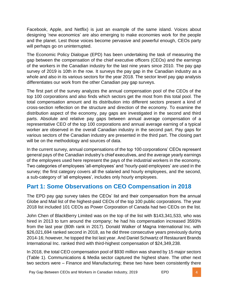Facebook, Apple, and Netflix) is just an example of the same island. Voices about designing 'new economics' are also emerging to make economies work for the people and the planet. Lest those voices become pervasive and powerful enough, CEOs party will perhaps go on uninterrupted.

The Economic Policy Dialogue (EPD) has been undertaking the task of measuring the gap between the compensation of the chief executive officers (CEOs) and the earnings of the workers in the Canadian industry for the last nine years since 2010. The pay gap survey of 2019 is 10th in the row. It surveys the pay gap in the Canadian industry as a whole and also in its various sectors for the year 2018. The sector level pay gap analysis differentiates our work from the other Canadian pay gap surveys.

The first part of the survey analyzes the annual compensation pool of the CEOs of the top 100 corporations and also finds which sectors get the most from this total pool. The total compensation amount and its distribution into different sectors present a kind of cross-section reflection on the structure and direction of the economy. To examine the distribution aspect of the economy, pay gaps are investigated in the second and third parts. Absolute and relative pay gaps between annual average compensation of a representative CEO of the top 100 corporations and annual average earning of a typical worker are observed in the overall Canadian industry in the second part. Pay gaps for various sectors of the Canadian industry are presented in the third part. The closing part will be on the methodology and sources of data.

In the current survey, annual compensations of the top 100 corporations' CEOs represent general pays of the Canadian industry's chief executives, and the average yearly earnings of the employees used here represent the pays of the industrial workers in the economy. Two categories of employees 'all-employees' and 'hourly-paid employees' are used in the survey; the first category covers all the salaried and hourly employees, and the second, a sub-category of 'all employees', includes only hourly employees.

### **Part 1: Some Observations on CEO Compensation in 2018**

The EPD pay gap survey takes the CEOs' list and their compensation from the annual Globe and Mail list of the highest-paid CEOs of the top 100 public corporations. The year 2018 list included 101 CEOs as Power Corporation of Canada had two CEOs on the list.

John Chen of BlackBerry Limited was on the top of the list with \$143,341,533, who was hired in 2013 to turn around the company; he had his compensation increased 3593% from the last year (80th rank in 2017). Donald Walker of Magna International Inc. with \$26,021,694 ranked second in 2018, as he did three consecutive years previously during 2014-16; however, he topped the list last year. And Daniel Schwartz of Restaurant Brands International Inc. ranked third with third-highest compensation of \$24,349,238.

In 2018, the total CEO compensation pool of \$930 million was shared by 15 major sectors (Table 1). Communications & Media sector captured the highest share. The other next two sectors were – Finance and Manufacturing; these two have been consistently there

Pay Gap Between CEOs and Workers in Canadian Industry, 2019 **EPD** EPD **EPD** 4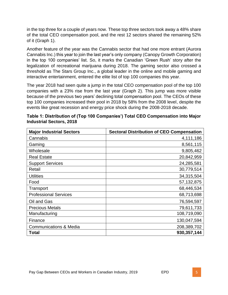in the top three for a couple of years now. These top three sectors took away a 48% share of the total CEO compensation pool, and the rest 12 sectors shared the remaining 52% of it (Graph 1).

Another feature of the year was the Cannabis sector that had one more entrant (Aurora Cannabis Inc.) this year to join the last year's only company (Canopy Growth Corporation) in the top 100 companies' list. So, it marks the Canadian 'Green Rush' story after the legalization of recreational marijuana during 2018. The gaming sector also crossed a threshold as The Stars Group Inc., a global leader in the online and mobile gaming and interactive entertainment, entered the elite list of top 100 companies this year.

The year 2018 had seen quite a jump in the total CEO compensation pool of the top 100 companies with a 23% rise from the last year (Graph 2). This jump was more visible because of the previous two years' declining total compensation pool. The CEOs of these top 100 companies increased their pool in 2018 by 58% from the 2008 level, despite the events like great recession and energy price shock during the 2008-2018 decade.

| <b>Major Industrial Sectors</b>   | <b>Sectoral Distribution of CEO Compensation</b> |
|-----------------------------------|--------------------------------------------------|
| Cannabis                          | 4,111,186                                        |
| Gaming                            | 8,561,115                                        |
| Wholesale                         | 9,805,462                                        |
| <b>Real Estate</b>                | 20,842,959                                       |
| <b>Support Services</b>           | 24,285,581                                       |
| Retail                            | 30,779,514                                       |
| <b>Utilities</b>                  | 34,315,504                                       |
| Food                              | 57, 132, 875                                     |
| Transport                         | 68,446,534                                       |
| <b>Professional Services</b>      | 68,713,698                                       |
| Oil and Gas                       | 76,594,597                                       |
| <b>Precious Metals</b>            | 79,611,733                                       |
| Manufacturing                     | 108,719,090                                      |
| Finance                           | 130,047,594                                      |
| <b>Communications &amp; Media</b> | 208,389,702                                      |
| Total                             | 930,357,144                                      |

| Table 1: Distribution of (Top 100 Companies') Total CEO Compensation into Major |  |
|---------------------------------------------------------------------------------|--|
| <b>Industrial Sectors, 2018</b>                                                 |  |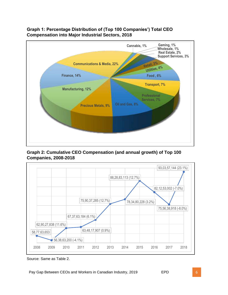

#### **Graph 1: Percentage Distribution of (Top 100 Companies') Total CEO Compensation into Major Industrial Sectors, 2018**

**Graph 2: Cumulative CEO Compensation (and annual growth) of Top 100 Companies, 2008-2018**



Source: Same as Table 2.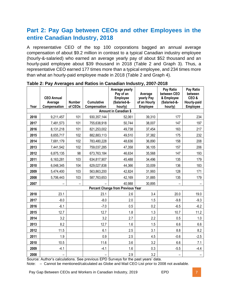### **Part 2: Pay Gap between CEOs and other Employees in the entire Canadian Industry, 2018**

A representative CEO of the top 100 corporations bagged an annual average compensation of about \$9.2 million in contrast to a typical Canadian industry employee (hourly-&-salaried) who earned an average yearly pay of about \$52 thousand and an hourly-paid employee about \$39 thousand in 2018 (Table 2 and Graph 3). Thus, a representative CEO earned 177 times more than a typical employee, and 234 times more than what an hourly-paid employee made in 2018 (Table 2 and Graph 4).

| Year                  | <b>CEO Annual</b><br>Average<br>Compensation | <b>Number</b><br>of CEOs | <b>Cumulative</b><br>Compensation | Average yearly<br>Pay of an<br><b>Employee</b><br>(Salaried-&-<br>hourly) | Average<br>yearly Pay<br>of an Hourly<br><b>Employee</b> | Pay Ratio<br>between CEO<br>& Employee<br>(Salaried-&-<br>hourly) | Pay Ratio<br>between<br>CEO&<br>Hourly-paid<br><b>Employee</b> |
|-----------------------|----------------------------------------------|--------------------------|-----------------------------------|---------------------------------------------------------------------------|----------------------------------------------------------|-------------------------------------------------------------------|----------------------------------------------------------------|
| Amount in Canadian \$ |                                              |                          |                                   |                                                                           |                                                          |                                                                   |                                                                |
| 2018                  | 9,211,457                                    | 101                      | 930, 357, 144                     | 52,061                                                                    | 39,310                                                   | 177                                                               | 234                                                            |
| 2017                  | 7,481,573                                    | 101                      | 755,638,918                       | 50,744                                                                    | 38,007                                                   | 147                                                               | 197                                                            |
| 2016                  | 8,131,218                                    | 101                      | 821,253,002                       | 49,738                                                                    | 37,454                                                   | 163                                                               | 217                                                            |
| 2015                  | 8,655,717                                    | 102                      | 882,883,113                       | 49,510                                                                    | 37,382                                                   | 175                                                               | 232                                                            |
| 2014                  | 7,681,179                                    | 102                      | 783,480,228                       | 48,636                                                                    | 36,890                                                   | 158                                                               | 208                                                            |
| 2013                  | 7,441,542                                    | 102                      | 759,037,285                       | 47,358                                                                    | 36,105                                                   | 157                                                               | 206                                                            |
| 2012                  | 6,875,135                                    | 98                       | 673,763,184                       | 46,634                                                                    | 35,568                                                   | 147                                                               | 193                                                            |
| 2011                  | 6,163,281                                    | 103                      | 634,817,907                       | 45,488                                                                    | 34,496                                                   | 135                                                               | 179                                                            |
| 2010                  | 6,048,345                                    | 104                      | 629,027,838                       | 44,366                                                                    | 33,009                                                   | 136                                                               | 183                                                            |
| 2009                  | 5,474,400                                    | 103                      | 563,863,200                       | 42,824                                                                    | 31,993                                                   | 128                                                               | 171                                                            |
| 2008                  | 5,706,443                                    | 103                      | 587,763,653                       | 42,169                                                                    | 31,885                                                   | 135                                                               | 179                                                            |
| 2007                  |                                              |                          |                                   | 40,988                                                                    | 30,895                                                   |                                                                   |                                                                |
|                       |                                              |                          |                                   | <b>Percent Change from Previous Year</b>                                  |                                                          |                                                                   |                                                                |
| 2018                  | 23.1                                         |                          | 23.1                              | 2.6                                                                       | 3.4                                                      | 20.0                                                              | 19.0                                                           |
| 2017                  | $-8.0$                                       |                          | $-8.0$                            | 2.0                                                                       | 1.5                                                      | $-9.8$                                                            | $-9.3$                                                         |
| 2016                  | $-6.1$                                       |                          | $-7.0$                            | 0.5                                                                       | 0.2                                                      | $-6.5$                                                            | $-6.2$                                                         |
| 2015                  | 12.7                                         |                          | 12.7                              | 1.8                                                                       | 1.3                                                      | 10.7                                                              | 11.2                                                           |
| 2014                  | 3.2                                          |                          | 3.2                               | 2.7                                                                       | 2.2                                                      | 0.5                                                               | 1.0                                                            |
| 2013                  | 8.2                                          |                          | 12.7                              | 1.6                                                                       | 1.5                                                      | 6.6                                                               | 6.6                                                            |
| 2012                  | 11.5                                         |                          | 6.1                               | 2.5                                                                       | 3.1                                                      | 8.8                                                               | 8.2                                                            |
| 2011                  | 1.9                                          |                          | 0.9                               | 2.5                                                                       | 4.5                                                      | $-0.6$                                                            | $-2.5$                                                         |
| 2010                  | 10.5                                         |                          | 11.6                              | 3.6                                                                       | 3.2                                                      | 6.6                                                               | 7.1                                                            |
| 2009                  | $-4.1$                                       |                          | $-4.1$                            | 1.6                                                                       | 0.3                                                      | $-5.5$                                                            | $-4.4$                                                         |
| 2008                  |                                              |                          |                                   | 2.9                                                                       | 3.2                                                      |                                                                   |                                                                |

**Table 2: Pay Averages and Ratios in Canadian Industry, 2007-2018**

Source: Author's calculations. See previous EPD Surveys for the past years' data.

Note: – Cannot be mentioned/calculated as Globe and Mail CEO List prior to 2008 not available.

Pay Gap Between CEOs and Workers in Canadian Industry, 2019 **EPD** EPD **Fig. 1.1.** 7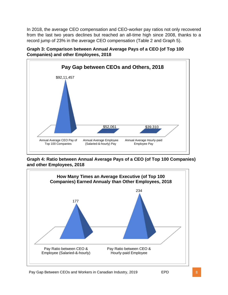In 2018, the average CEO compensation and CEO-worker pay ratios not only recovered from the last two years declines but reached an all-time high since 2008, thanks to a record jump of 23% in the average CEO compensation (Table 2 and Graph 5).





**Graph 4: Ratio between Annual Average Pays of a CEO (of Top 100 Companies) and other Employees, 2018**

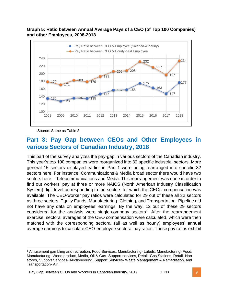#### **Graph 5: Ratio between Annual Average Pays of a CEO (of Top 100 Companies) and other Employees, 2008-2018**



Source: Same as Table 2.

### **Part 3: Pay Gap between CEOs and Other Employees in various Sectors of Canadian Industry, 2018**

This part of the survey analyzes the pay-gap in various sectors of the Canadian industry. This year's top 100 companies were reorganized into 32 specific industrial sectors. More general 15 sectors displayed earlier in Part 1 were being rearranged into specific 32 sectors here. For instance: Communications & Media broad sector there would have two sectors here – Telecommunications and Media. This rearrangement was done in order to find out workers' pay at three or more NAICS (North American Industry Classification System) digit level corresponding to the sectors for which the CEOs' compensation was available. The CEO-worker pay ratios were calculated for 29 out of these all 32 sectors as three sectors, Equity Funds, Manufacturing- Clothing, and Transportation- Pipeline did not have any data on employees' earnings. By the way, 12 out of these 29 sectors considered for the analysis were single-company sectors<sup>1</sup>. After the rearrangement exercise, sectoral averages of the CEO compensation were calculated, which were then matched with the corresponding sectoral (all as well as hourly) employees' annual average earnings to calculate CEO-employee sectoral pay ratios. These pay ratios exhibit

<sup>1</sup> Amusement gambling and recreation, Food Services, Manufacturing- Labels, Manufacturing- Food, Manufacturing- Wood product, Media, Oil & Gas- Support services, Retail- Gas Stations, Retail- Nonstores, Support Services- Auctioneering, Support Services- Waste Management & Remediation, and Transportation- Air.

Pay Gap Between CEOs and Workers in Canadian Industry, 2019 **EPD** EPD **9**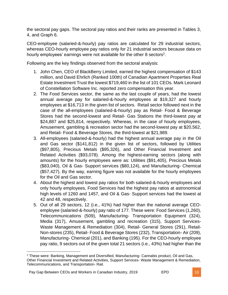the sectoral pay gaps. The sectoral pay ratios and their ranks are presented in Tables 3, 4, and Graph 6.

CEO-employee (salaried-&-hourly) pay ratios are calculated for 29 industrial sectors, whereas CEO-hourly employee pay ratios only for 21 industrial sectors because data on hourly employees' earnings were not available for the other 8 sectors<sup>2</sup>.

Following are the key findings observed from the sectoral analysis:

- 1. John Chen, CEO of BlackBerry Limited, earned the highest compensation of \$143 million, and David Ehrlich (Ranked 100th) of Canadian Apartment Properties Real Estate Investment Trust the lowest \$719,460 in the list of 101 CEOs. Mark Leonard of Constellation Software Inc. reported zero compensation this year.
- 2. The Food Services sector, the same as the last couple of years, had the lowest annual average pay for salaried-&-hourly employees at \$19,327 and hourly employees at \$16,713 in the given list of sectors. Retail sector followed next in the case of the all-employees (salaried-&-hourly) pay as Retail- Food & Beverage Stores had the second-lowest and Retail- Gas Stations the third-lowest pay at \$24,887 and \$25,814, respectively. Whereas, in the case of hourly employees, Amusement, gambling & recreation sector had the second-lowest pay at \$20,562, and Retail- Food & Beverage Stores, the third-lowest at \$21,989.
- 3. All-employees (salaried-&-hourly) had the highest annual average pay in the Oil and Gas sector (\$141,812) in the given list of sectors, followed by Utilities (\$97,805), Precious Metals (\$95,326), and Other Financial Investment and Related Activities (\$93,078). Among the highest-earning sectors (along with amounts) for the hourly employees were as: Utilities (\$91,405), Precious Metals (\$83,040), Oil & Gas- Support services (\$80,124), and Manufacturing- Chemical (\$57,427). By the way, earning figure was not available for the hourly employees for the Oil and Gas sector.
- 4. About the highest and lowest pay ratios for both salaried-&-hourly employees and only hourly employees, Food Services had the highest pay ratios at astronomical high levels of 1260 and 1457, and Oil & Gas- Support services had the lowest at 42 and 48, respectively.
- 5. Out of all 29 sectors, 12 (i.e., 41%) had higher than the national average CEOemployee (salaried-&-hourly) pay ratio of 177. These were: Food Services (1,260), Telecommunications (509), Manufacturing- Transportation Equipment (324), Media (317), Amusement, gambling and recreation (315), Support Services-Waste Management & Remediation (304), Retail- General Stores (291), Retail-Non-stores (235), Retail- Food & Beverage Stores (232), Transportation- Air (209), Manufacturing- Chemical (201), and Banking (195). For the CEO-hourly employee pay ratio, 9 sectors out of the given total 21 sectors (i.e., 43%) had higher than the

<sup>2</sup> These were: Banking, Management and Diversified, Manufacturing- Cannabis product, Oil and Gas, Other Financial Investment and Related Activities, Support Services- Waste Management & Remediation, Telecommunications, and Transportation- Rail.

Pay Gap Between CEOs and Workers in Canadian Industry, 2019 **EPD** 10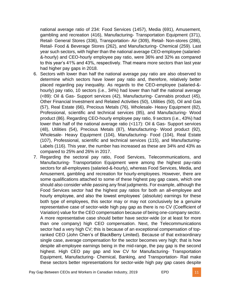national average ratio of 234: Food Services (1457), Media (691), Amusement, gambling and recreation (416), Manufacturing- Transportation Equipment (371), Retail- General Stores (336), Transportation- Air (309), Retail- Non-stores (286), Retail- Food & Beverage Stores (262), and Manufacturing- Chemical (259). Last year such sectors, with higher than the national average CEO-employee (salaried- &-hourly) and CEO-hourly employee pay ratio, were 36% and 32% as compared to this year's 41% and 43%, respectively. That means more sectors than last year had higher pay gaps in 2018.

- 6. Sectors with lower than half the national average pay ratio are also observed to determine which sectors have lower pay ratio and, therefore, relatively better placed regarding pay inequality. As regards to the CEO-employee (salaried-& hourly) pay ratio, 10 sectors (i.e., 34%) had lower than half the national average (<89): Oil & Gas- Support services (42), Manufacturing- Cannabis product (45), Other Financial Investment and Related Activities (50), Utilities (50), Oil and Gas (57), Real Estate (66), Precious Metals (76), Wholesale- Heavy Equipment (82), Professional, scientific and technical services (85), and Manufacturing- Wood product (86). Regarding CEO-hourly employee pay ratio, 9 sectors (i.e., 43%) had lower than half of the national average ratio (<117): Oil & Gas- Support services (48), Utilities (54), Precious Metals (87), Manufacturing- Wood product (92), Wholesale- Heavy Equipment (104), Manufacturing- Food (104), Real Estate (107), Professional, scientific and technical services (115), and Manufacturing-Labels (116). This year, the number has increased as these are 34% and 43% as compared to 25% and 26% in 2017.
- 7. Regarding the sectoral pay ratio, Food Services, Telecommunications, and Manufacturing- Transportation Equipment were among the highest pay-ratio sectors for all-employees (salaried-&-hourly), whereas Food Services, Media, and Amusement, gambling and recreation for hourly-employees. However, there are some qualifications attached to some of these highest pay gap cases, which one should also consider while passing any final judgments. For example, although the Food Services sector had the highest pay ratios for both an all-employee and hourly employee, and also the lowest employees' (absolute) earnings for these both type of employees, this sector may or may not conclusively be a genuine representative case of sector-wide high pay gap as there is no CV (Coefficient of Variation) value for the CEO compensation because of being one-company sector. A more representative case should better have sector-wide (or at least for more than one company) high CEO compensation. Next, the Telecommunications sector had a very high CV; this is because of an exceptional compensation of topranked CEO (John Chen's of BlackBerry Limited). Because of that extraordinary single case, average compensation for the sector becomes very high; that is how despite all-employee earnings being in the mid-range, the pay gap is the second highest. High CEO pay gap and low CV for Manufacturing- Transportation Equipment, Manufacturing- Chemical, Banking, and Transportation- Rail make these sectors better representations for sector-wide high pay gap cases despite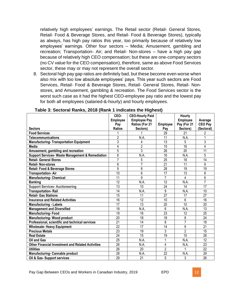relatively high employees' earnings. The Retail sector (Retail- General Stores, Retail- Food & Beverage Stores, and Retail- Food & Beverage Stores), typically as always, has high pay ratios this year, too primarily because of relatively low employees' earnings. Other four sectors – Media; Amusement, gambling and recreation; Transportation- Air; and Retail- Non-stores – have a high pay gap because of relatively high CEO compensation; but these are one-company sectors (no CV value for the CEO compensation), therefore, same as above Food Services sector, these may or may not represent the overall sector.

8. Sectoral high pay gap ratios are definitely bad, but these become even worse when also mix with too low absolute employees' pays. This year such sectors are Food Services, Retail- Food & Beverage Stores, Retail- General Stores, Retail- Nonstores, and Amusement, gambling & recreation. The Food Services sector is the worst such case as it had the highest CEO-employee pay ratio and the lowest pay for both all employees (salaried-&-hourly) and hourly employees.

|                                                             | CEO-            | <b>CEO-Hourly Paid</b> |                 | Hourly          |                 |
|-------------------------------------------------------------|-----------------|------------------------|-----------------|-----------------|-----------------|
|                                                             | <b>Employee</b> | <b>Employee Pay</b>    |                 | <b>Employee</b> | Average         |
|                                                             | Pay             | Ratios (For 21         | Employee        | Pay (For 21     | <b>CEO Pay</b>  |
| <b>Sectors</b>                                              | <b>Ratios</b>   | Sectors)               | Pay             | Sectors)        | (Sectoral)      |
| <b>Food Services</b>                                        |                 |                        | 29              | 21              | 2               |
| <b>Telecommunications</b>                                   | $\overline{2}$  | N.A.                   | 11              | N.A.            |                 |
| <b>Manufacturing-Transportation Equipment</b>               | 3               | 4                      | 13              | 5               | 3               |
| <b>Media</b>                                                | 4               | $\overline{2}$         | 15              | $\overline{16}$ | $\overline{4}$  |
| Amusement, gambling and recreation                          | $\overline{5}$  | 3                      | 26              | 20              | $\overline{11}$ |
| <b>Support Services- Waste Management &amp; Remediation</b> | 6               | N.A.                   | 16              | N.A.            | 5               |
| <b>Retail- General Stores</b>                               | $\overline{7}$  | 5                      | 25              | 18              | 14              |
| <b>Retail-Non-stores</b>                                    | 8               | 7                      | 21              | 11              | 9               |
| <b>Retail- Food &amp; Beverage Stores</b>                   | 9               | 8                      | 28              | 19              | $\overline{19}$ |
| <b>Transportation-Air</b>                                   | 10              | 6                      | $\overline{17}$ | $\overline{13}$ | 8               |
| <b>Manufacturing- Chemical</b>                              | $\overline{11}$ | 9                      | 7               | 4               | $\overline{6}$  |
| <b>Banking</b>                                              | $\overline{12}$ | N.A.                   | $\overline{12}$ | N.A.            | $\overline{7}$  |
| <b>Support Services- Auctioneering</b>                      | $\overline{13}$ | 10                     | $\overline{24}$ | 14              | $\overline{17}$ |
| <b>Transportation-Rail</b>                                  | $\overline{14}$ | N.A.                   | $\overline{9}$  | N.A.            | 10              |
| <b>Retail- Gas Stations</b>                                 | $\overline{15}$ | 11                     | $\overline{27}$ | 17              | $\overline{27}$ |
| <b>Insurance and Related Activities</b>                     | 16              | 12                     | 10              | 6               | 16              |
| <b>Manufacturing - Labels</b>                               | $\overline{17}$ | $\overline{13}$        | $\overline{20}$ | $\overline{10}$ | $\overline{20}$ |
| <b>Management and Diversified</b>                           | 18              | N.A.                   | 6               | N.A.            | $\overline{13}$ |
| <b>Manufacturing-Food</b>                                   | 19              | 16                     | $\overline{23}$ | 12              | $\overline{25}$ |
| <b>Manufacturing-Wood product</b>                           | 20              | 18                     | 18              | 8               | 24              |
| Professional, scientific and technical services             | 21              | 14                     | 8               | $\overline{7}$  | 18              |
| <b>Wholesale- Heavy Equipment</b>                           | 22              | $\overline{17}$        | 14              | 9               | 21              |
| <b>Precious Metals</b>                                      | 23              | 19                     | 3               | $\overline{2}$  | 15              |
| <b>Real Estate</b>                                          | 24              | 15                     | 19              | 15              | 28              |
| Oil and Gas                                                 | 25              | N.A.                   |                 | N.A.            | $\overline{12}$ |
| <b>Other Financial Investment and Related Activities</b>    | 26              | N.A.                   | 4               | N.A.            | 23              |
| <b>Utilities</b>                                            | 26              | 20                     | $\overline{2}$  |                 | 22              |
| <b>Manufacturing- Cannabis product</b>                      | 28              | N.A.                   | $\overline{22}$ | N.A.            | $\overline{29}$ |
| Oil & Gas- Support services                                 | $\overline{29}$ | $\overline{21}$        | 5               | 3               | $\overline{26}$ |

#### **Table 3: Sectoral Ranks, 2018 (Rank 1 indicates the Highest)**

Pay Gap Between CEOs and Workers in Canadian Industry, 2019 **EPD** 12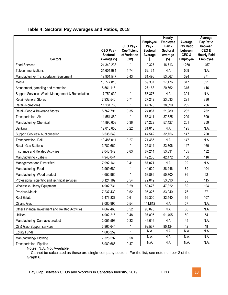|                                                   | CEO Pay -<br><b>Sectoral</b> | CEO Pay -<br><b>Coefficient</b><br>of Variation | <b>Employee</b><br>Pay -<br><b>Sectoral</b><br>Average | Hourly<br><b>Employee</b><br>Pay -<br><b>Sectoral</b><br>Average | Average<br>Pay Ratio<br>between<br>CEO& | Average<br>Pay Ratio<br>between<br>CEO&<br><b>Hourly Paid</b> |
|---------------------------------------------------|------------------------------|-------------------------------------------------|--------------------------------------------------------|------------------------------------------------------------------|-----------------------------------------|---------------------------------------------------------------|
| <b>Sectors</b>                                    | Average (\$)                 | (CV)                                            | $($ \$)                                                | $($ \$)                                                          | <b>Employee</b>                         | Employee                                                      |
| <b>Food Services</b>                              | 24,349,238                   |                                                 | 19,327                                                 | 16,713                                                           | 1260                                    | 1457                                                          |
| Telecommunications                                | 31,601,981                   | 1.74                                            | 62,134                                                 | N.A.                                                             | 509                                     | N.A.                                                          |
| Manufacturing- Transportation Equipment           | 19,901,547                   | 0.43                                            | 61,496                                                 | 53,667                                                           | 324                                     | 371                                                           |
| Media                                             | 18,777,815                   |                                                 | 59,307                                                 | 27,176                                                           | 317                                     | 691                                                           |
| Amusement, gambling and recreation                | 8,561,115                    | $\blacksquare$                                  | 27,168                                                 | 20,562                                                           | 315                                     | 416                                                           |
| Support Services- Waste Management & Remediation  | 17,750,032                   |                                                 | 58,376                                                 | N.A.                                                             | 304                                     | N.A.                                                          |
| <b>Retail- General Stores</b>                     | 7,932,546                    | 0.71                                            | 27,249                                                 | 23,633                                                           | 291                                     | 336                                                           |
| Retail- Non-stores                                | 11,131,760                   |                                                 | 47,370                                                 | 38,899                                                           | 235                                     | 286                                                           |
| Retail- Food & Beverage Stores                    | 5,762,791                    | 0.35                                            | 24,887                                                 | 21,989                                                           | 232                                     | 262                                                           |
| Transportation-Air                                | 11,551,850                   | $\blacksquare$                                  | 55,311                                                 | 37,325                                                           | 209                                     | 309                                                           |
| Manufacturing- Chemical                           | 14,890,603                   | 0.36                                            | 74,229                                                 | 57,427                                                           | 201                                     | 259                                                           |
| Banking                                           | 12,016,650                   | 0.22                                            | 61,618                                                 | N.A.                                                             | 195                                     | N.A.                                                          |
| Support Services- Auctioneering                   | 6,535,549                    |                                                 | 44,542                                                 | 32,756                                                           | 147                                     | 200                                                           |
| Transportation-Rail                               | 10,486,011                   | 0.27                                            | 71,485                                                 | N.A.                                                             | 147                                     | N.A.                                                          |
| Retail- Gas Stations                              | 3,782,662                    |                                                 | 25,814                                                 | 23,706                                                           | 147                                     | 160                                                           |
| <b>Insurance and Related Activities</b>           | 7,043,342                    | 0.63                                            | 67,214                                                 | 53,331                                                           | 105                                     | 132                                                           |
| Manufacturing - Labels                            | 4,940,044                    | $\blacksquare$                                  | 49,285                                                 | 42,472                                                           | 100                                     | 116                                                           |
| Management and Diversified                        | 7,992,141                    | 0.41                                            | 87,071                                                 | N.A.                                                             | 92                                      | N.A.                                                          |
| Manufacturing-Food                                | 3,969,680                    |                                                 | 44,620                                                 | 38,246                                                           | 89                                      | 104                                                           |
| Manufacturing-Wood product                        | 4,652,960                    | $\blacksquare$                                  | 53,886                                                 | 50,700                                                           | 86                                      | 92                                                            |
| Professional, scientific and technical services   | 6,124,189                    | 0.54                                            | 72,049                                                 | 53,090                                                           | 85                                      | 115                                                           |
| <b>Wholesale- Heavy Equipment</b>                 | 4,902,731                    | 0.29                                            | 59,676                                                 | 47,322                                                           | 82                                      | 104                                                           |
| <b>Precious Metals</b>                            | 7,237,430                    | 0.62                                            | 95,326                                                 | 83,040                                                           | 76                                      | 87                                                            |
| <b>Real Estate</b>                                | 3,473,827                    | 0.61                                            | 52,300                                                 | 32,440                                                           | 66                                      | 107                                                           |
| Oil and Gas                                       | 8,080,995                    | 0.54                                            | 141,812                                                | N.A.                                                             | 57                                      | N.A.                                                          |
| Other Financial Investment and Related Activities | 4,667,460                    | 0.52                                            | 93,078                                                 | N.A.                                                             | 50                                      | N.A.                                                          |
| <b>Utilities</b>                                  | 4,902,215                    | 0.48                                            | 97,805                                                 | 91,405                                                           | 50                                      | 54                                                            |
| Manufacturing- Cannabis product                   | 2,055,593                    | 0.32                                            | 46,016                                                 | N.A.                                                             | 45                                      | N.A.                                                          |
| Oil & Gas- Support services                       | 3,865,644                    |                                                 | 92,537                                                 | 80,124                                                           | 42                                      | 48                                                            |
| <b>Equity Funds</b>                               | 1,685,259                    |                                                 | N.A.                                                   | N.A.                                                             | N.A.                                    | N.A.                                                          |
| Manufacturing- Clothing                           | 7,325,592                    | 0.58                                            | N.A.                                                   | N.A.                                                             | N.A.                                    | N.A.                                                          |
| <b>Transportation-Pipeline</b>                    | 8,980,666                    | 0.47                                            | N.A.                                                   | N.A.                                                             | N.A.                                    | N.A.                                                          |

#### **Table 4: Sectoral Pay Averages and Ratios, 2018**

Notes: N.A. Not Available

– Cannot be calculated as these are single-company sectors. For the list, see note number 2 of the Graph 6.

Pay Gap Between CEOs and Workers in Canadian Industry, 2019 **EPD** EPD 13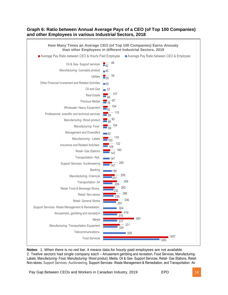#### **Graph 6: Ratio between Annual Average Pays of a CEO (of Top 100 Companies) and other Employees in various Industrial Sectors, 2018**



**Notes**: 1. When there is no red bar, it means data for hourly-paid employees are not available. 2. Twelve sectors had single company each – Amusement gambling and recreation, Food Services, Manufacturing-Labels, Manufacturing- Food, Manufacturing- Wood product, Media, Oil & Gas- Support Services, Retail- Gas Stations, Retail-Non-stores, Support Services- Auctioneering, Support Services- Waste Management & Remediation, and Transportation- Air.

Pay Gap Between CEOs and Workers in Canadian Industry, 2019 **EPD** EPD **14**